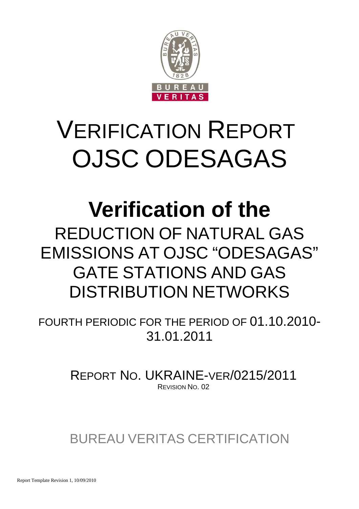

# VERIFICATION REPORT OJSC ODESAGAS

# **Verification of the**

REDUCTION OF NATURAL GAS EMISSIONS AT OJSC "ODESAGAS" GATE STATIONS AND GAS DISTRIBUTION NETWORKS

FOURTH PERIODIC FOR THE PERIOD OF 01.10.2010- 31.01.2011

> REPORT NO. UKRAINE-VER/0215/2011 REVISION NO. 02

BUREAU VERITAS CERTIFICATION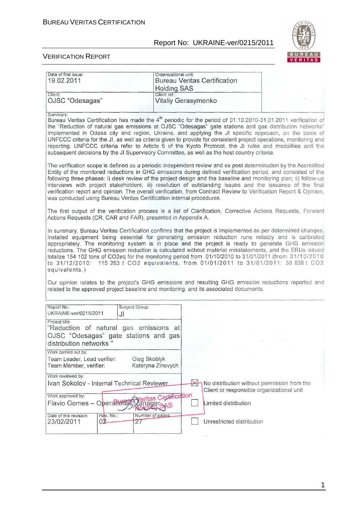

#### VERIFICATION REPORT

| Date of first issue:                                                                                                         | Organizational unit:                                                                                                                                                                                                                                                                                                                                                                                                                                                                                                                                                                                                                                                            |                                                                                          |
|------------------------------------------------------------------------------------------------------------------------------|---------------------------------------------------------------------------------------------------------------------------------------------------------------------------------------------------------------------------------------------------------------------------------------------------------------------------------------------------------------------------------------------------------------------------------------------------------------------------------------------------------------------------------------------------------------------------------------------------------------------------------------------------------------------------------|------------------------------------------------------------------------------------------|
| 19.02.2011                                                                                                                   | <b>Bureau Veritas Certification</b><br><b>Holding SAS</b>                                                                                                                                                                                                                                                                                                                                                                                                                                                                                                                                                                                                                       |                                                                                          |
| Client:<br>OJSC "Odesagas"                                                                                                   | Client ref.:<br>Vitaliy Gerasymenko                                                                                                                                                                                                                                                                                                                                                                                                                                                                                                                                                                                                                                             |                                                                                          |
| Summary:                                                                                                                     | Bureau Veritas Certification has made the 4 <sup>th</sup> periodic for the period of 01.10.2010-31.01.2011 verification of<br>the "Reduction of natural gas emissions at OJSC "Odesagas" gate stations and gas distribution networks"<br>implemented in Odesa city and region, Ukraine, and applying the JI specific approach, on the basis of<br>UNFCCC criteria for the JI, as well as criteria given to provide for consistent project operations, monitoring and<br>reporting. UNFCCC criteria refer to Article 6 of the Kyoto Protocol, the JI rules and modalities and the<br>subsequent decisions by the JI Supervisory Committee, as well as the host country criteria. |                                                                                          |
| was conducted using Bureau Veritas Certification internal procedures.                                                        | The verification scope is defined as a periodic independent review and ex post determination by the Accredited<br>Entity of the monitored reductions in GHG emissions during defined verification period, and consisted of the<br>following three phases: i) desk review of the project design and the baseline and monitoring plan; ii) follow-up<br>interviews with project stakeholders; iii) resolution of outstanding issues and the issuance of the final<br>verification report and opinion. The overall verification, from Contract Review to Verification Report & Opinion,                                                                                            |                                                                                          |
| Actions Requests (CR, CAR and FAR), presented in Appendix A.                                                                 | The first output of the verification process is a list of Clarification, Corrective Actions Requests, Forward                                                                                                                                                                                                                                                                                                                                                                                                                                                                                                                                                                   |                                                                                          |
|                                                                                                                              | In summary, Bureau Veritas Certification confirms that the project is implemented as per determined changes.                                                                                                                                                                                                                                                                                                                                                                                                                                                                                                                                                                    |                                                                                          |
| Installed equipment being essential for generating emission reduction runs reliably and is calibrated<br>equivalents.)       | appropriately. The monitoring system is in place and the project is ready to generate GHG emission<br>reductions. The GHG emission reduction is calculated without material misstatements, and the ERUs issued<br>totalize 154 102 tons of CO2eq for the monitoring period from 01/10/2010 to 31/01/2011 (from 01/10/2010<br>to 31/12/2010: 115 263 t CO2 equivalents, from 01/01/2011 to 31/01/2011: 38 839 t CO2<br>Our opinion relates to the project's GHG emissions and resulting GHG emission reductions reported and<br>related to the approved project baseline and monitoring, and its associated documents.                                                           |                                                                                          |
| Report No.:<br>Subject Group:<br>UKRAINE-ver/0215/2011<br>Jl                                                                 |                                                                                                                                                                                                                                                                                                                                                                                                                                                                                                                                                                                                                                                                                 |                                                                                          |
| Project title:<br>"Reduction of natural gas emissions at<br>OJSC "Odesagas" gate stations and gas<br>distribution networks " |                                                                                                                                                                                                                                                                                                                                                                                                                                                                                                                                                                                                                                                                                 |                                                                                          |
| Work carried out by:<br>Team Leader, Lead verifier:<br>Team Member, verifier:                                                | Oleg Skoblyk<br>Kateryna Zinevych                                                                                                                                                                                                                                                                                                                                                                                                                                                                                                                                                                                                                                               |                                                                                          |
| Work reviewed by:                                                                                                            |                                                                                                                                                                                                                                                                                                                                                                                                                                                                                                                                                                                                                                                                                 |                                                                                          |
| Ivan Sokolov - Internal Technical Reviewer<br>Work approved by:<br>Flavio Gomes - Operations                                 | $\bowtie$<br>Veritas Certification<br>Aanagereve<br>Limited distribution                                                                                                                                                                                                                                                                                                                                                                                                                                                                                                                                                                                                        | No distribution without permission from the<br>Client or responsible organizational unit |

1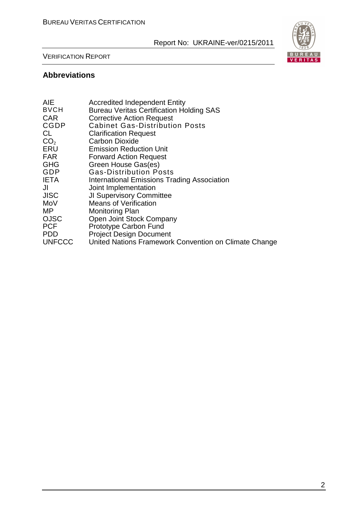

#### VERIFICATION REPORT

# **Abbreviations**

| <b>AIE</b>      | <b>Accredited Independent Entity</b>                  |
|-----------------|-------------------------------------------------------|
| <b>BVCH</b>     | <b>Bureau Veritas Certification Holding SAS</b>       |
| <b>CAR</b>      | <b>Corrective Action Request</b>                      |
| <b>CGDP</b>     | <b>Cabinet Gas-Distribution Posts</b>                 |
| CL.             | <b>Clarification Request</b>                          |
| CO <sub>2</sub> | <b>Carbon Dioxide</b>                                 |
| ERU             | <b>Emission Reduction Unit</b>                        |
| <b>FAR</b>      | <b>Forward Action Request</b>                         |
| <b>GHG</b>      | Green House Gas(es)                                   |
| GDP             | <b>Gas-Distribution Posts</b>                         |
| <b>IETA</b>     | <b>International Emissions Trading Association</b>    |
| JI              | Joint Implementation                                  |
| <b>JISC</b>     | <b>JI Supervisory Committee</b>                       |
| MoV             | <b>Means of Verification</b>                          |
| MP.             | <b>Monitoring Plan</b>                                |
| <b>OJSC</b>     | Open Joint Stock Company                              |
| <b>PCF</b>      | Prototype Carbon Fund                                 |
| <b>PDD</b>      | <b>Project Design Document</b>                        |
| <b>UNFCCC</b>   | United Nations Framework Convention on Climate Change |
|                 |                                                       |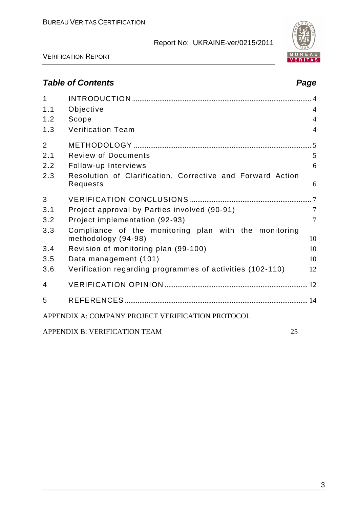



VERIFICATION REPORT

# **Table of Contents Page 2018**

| $\mathbf{1}$ |                                                                              |                |
|--------------|------------------------------------------------------------------------------|----------------|
| 1.1          | Objective                                                                    | $\overline{4}$ |
| 1.2          | Scope                                                                        | $\overline{4}$ |
| 1.3          | <b>Verification Team</b>                                                     | $\overline{4}$ |
| 2            |                                                                              |                |
| 2.1          | <b>Review of Documents</b>                                                   | 5              |
| 2.2          | Follow-up Interviews                                                         | 6              |
| 2.3          | Resolution of Clarification, Corrective and Forward Action<br>Requests       | 6              |
| 3            |                                                                              |                |
| 3.1          | Project approval by Parties involved (90-91)                                 | $\overline{7}$ |
| 3.2          | Project implementation (92-93)                                               | $\tau$         |
| 3.3          | Compliance of the monitoring plan with the monitoring<br>methodology (94-98) | 10             |
| 3.4          | Revision of monitoring plan (99-100)                                         | 10             |
| 3.5          | Data management (101)                                                        | 10             |
| 3.6          | Verification regarding programmes of activities (102-110)                    | 12             |
| 4            |                                                                              |                |
| 5            |                                                                              |                |
|              | APPENDIX A: COMPANY PROJECT VERIFICATION PROTOCOL                            |                |
|              | APPENDIX B: VERIFICATION TEAM                                                | 25             |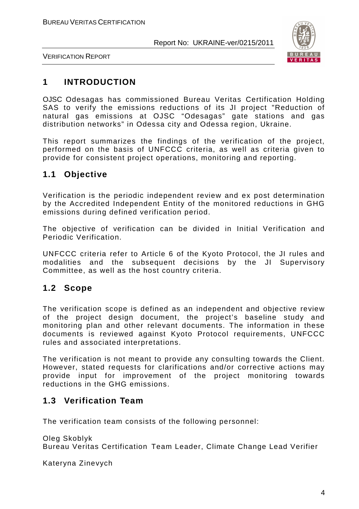

VERIFICATION REPORT

# **1 INTRODUCTION**

OJSC Odesagas has commissioned Bureau Veritas Certification Holding SAS to verify the emissions reductions of its JI project "Reduction of natural gas emissions at OJSC "Odesagas" gate stations and gas distribution networks" in Odessa city and Odessa region, Ukraine.

This report summarizes the findings of the verification of the project, performed on the basis of UNFCCC criteria, as well as criteria given to provide for consistent project operations, monitoring and reporting.

# **1.1 Objective**

Verification is the periodic independent review and ex post determination by the Accredited Independent Entity of the monitored reductions in GHG emissions during defined verification period.

The objective of verification can be divided in Initial Verification and Periodic Verification.

UNFCCC criteria refer to Article 6 of the Kyoto Protocol, the JI rules and modalities and the subsequent decisions by the JI Supervisory Committee, as well as the host country criteria.

# **1.2 Scope**

The verification scope is defined as an independent and objective review of the project design document, the project's baseline study and monitoring plan and other relevant documents. The information in these documents is reviewed against Kyoto Protocol requirements, UNFCCC rules and associated interpretations.

The verification is not meant to provide any consulting towards the Client. However, stated requests for clarifications and/or corrective actions may provide input for improvement of the project monitoring towards reductions in the GHG emissions.

# **1.3 Verification Team**

The verification team consists of the following personnel:

Oleg Skoblyk Bureau Veritas Certification Team Leader, Climate Change Lead Verifier

Kateryna Zinevych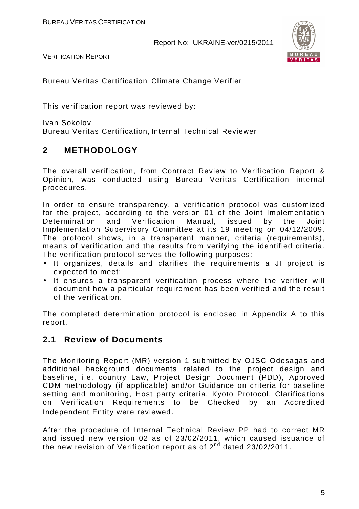

VERIFICATION REPORT

Bureau Veritas Certification Climate Change Verifier

This verification report was reviewed by:

Ivan Sokolov Bureau Veritas Certification, Internal Technical Reviewer

# **2 METHODOLOGY**

The overall verification, from Contract Review to Verification Report & Opinion, was conducted using Bureau Veritas Certification internal procedures.

In order to ensure transparency, a verification protocol was customized for the project, according to the version 01 of the Joint Implementation Determination and Verification Manual, issued by the Joint Implementation Supervisory Committee at its 19 meeting on 04/12/2009. The protocol shows, in a transparent manner, criteria (requirements), means of verification and the results from verifying the identified criteria. The verification protocol serves the following purposes:

- It organizes, details and clarifies the requirements a JI project is expected to meet;
- It ensures a transparent verification process where the verifier will document how a particular requirement has been verified and the result of the verification.

The completed determination protocol is enclosed in Appendix A to this report.

# **2.1 Review of Documents**

The Monitoring Report (MR) version 1 submitted by OJSC Odesagas and additional background documents related to the project design and baseline, i.e. country Law, Project Design Document (PDD), Approved CDM methodology (if applicable) and/or Guidance on criteria for baseline setting and monitoring, Host party criteria, Kyoto Protocol, Clarifications on Verification Requirements to be Checked by an Accredited Independent Entity were reviewed.

After the procedure of Internal Technical Review PP had to correct MR and issued new version 02 as of 23/02/2011, which caused issuance of the new revision of Verification report as of 2<sup>nd</sup> dated 23/02/2011.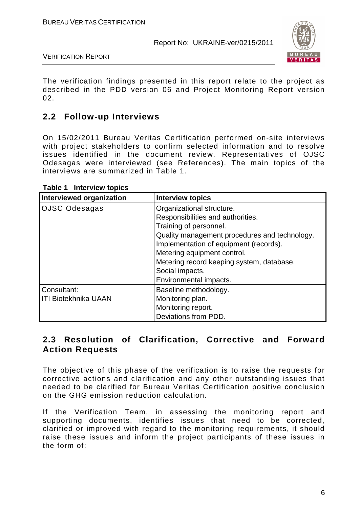

VERIFICATION REPORT

The verification findings presented in this report relate to the project as described in the PDD version 06 and Project Monitoring Report version 02.

# **2.2 Follow-up Interviews**

On 15/02/2011 Bureau Veritas Certification performed on-site interviews with project stakeholders to confirm selected information and to resolve issues identified in the document review. Representatives of OJSC Odesagas were interviewed (see References). The main topics of the interviews are summarized in Table 1.

| <b>Interviewed organization</b> | <b>Interview topics</b>                       |  |  |  |  |  |
|---------------------------------|-----------------------------------------------|--|--|--|--|--|
| <b>OJSC Odesagas</b>            | Organizational structure.                     |  |  |  |  |  |
|                                 | Responsibilities and authorities.             |  |  |  |  |  |
|                                 | Training of personnel.                        |  |  |  |  |  |
|                                 | Quality management procedures and technology. |  |  |  |  |  |
|                                 | Implementation of equipment (records).        |  |  |  |  |  |
|                                 | Metering equipment control.                   |  |  |  |  |  |
|                                 | Metering record keeping system, database.     |  |  |  |  |  |
|                                 | Social impacts.                               |  |  |  |  |  |
|                                 | Environmental impacts.                        |  |  |  |  |  |
| Consultant:                     | Baseline methodology.                         |  |  |  |  |  |
| <b>ITI Biotekhnika UAAN</b>     | Monitoring plan.                              |  |  |  |  |  |
|                                 | Monitoring report.                            |  |  |  |  |  |
|                                 | Deviations from PDD.                          |  |  |  |  |  |

#### **Table 1 Interview topics**

# **2.3 Resolution of Clarification, Corrective and Forward Action Requests**

The objective of this phase of the verification is to raise the requests for corrective actions and clarification and any other outstanding issues that needed to be clarified for Bureau Veritas Certification positive conclusion on the GHG emission reduction calculation.

If the Verification Team, in assessing the monitoring report and supporting documents, identifies issues that need to be corrected, clarified or improved with regard to the monitoring requirements, it should raise these issues and inform the project participants of these issues in the form of: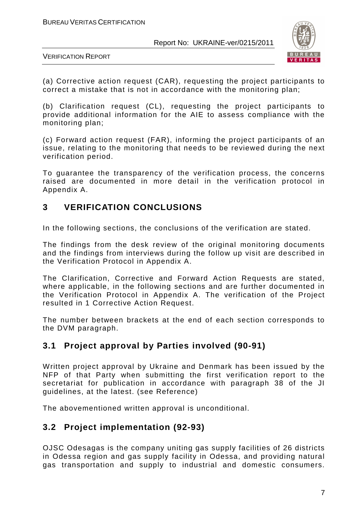

VERIFICATION REPORT

(a) Corrective action request (CAR), requesting the project participants to correct a mistake that is not in accordance with the monitoring plan;

(b) Clarification request (CL), requesting the project participants to provide additional information for the AIE to assess compliance with the monitoring plan;

(c) Forward action request (FAR), informing the project participants of an issue, relating to the monitoring that needs to be reviewed during the next verification period.

To guarantee the transparency of the verification process, the concerns raised are documented in more detail in the verification protocol in Appendix A.

# **3 VERIFICATION CONCLUSIONS**

In the following sections, the conclusions of the verification are stated.

The findings from the desk review of the original monitoring documents and the findings from interviews during the follow up visit are described in the Verification Protocol in Appendix A.

The Clarification, Corrective and Forward Action Requests are stated, where applicable, in the following sections and are further documented in the Verification Protocol in Appendix A. The verification of the Project resulted in 1 Corrective Action Request.

The number between brackets at the end of each section corresponds to the DVM paragraph.

# **3.1 Project approval by Parties involved (90-91)**

Written project approval by Ukraine and Denmark has been issued by the NFP of that Party when submitting the first verification report to the secretariat for publication in accordance with paragraph 38 of the JI guidelines, at the latest. (see Reference)

The abovementioned written approval is unconditional.

# **3.2 Project implementation (92-93)**

OJSC Odesagas is the company uniting gas supply facilities of 26 districts in Odessa region and gas supply facility in Odessa, and providing natural gas transportation and supply to industrial and domestic consumers.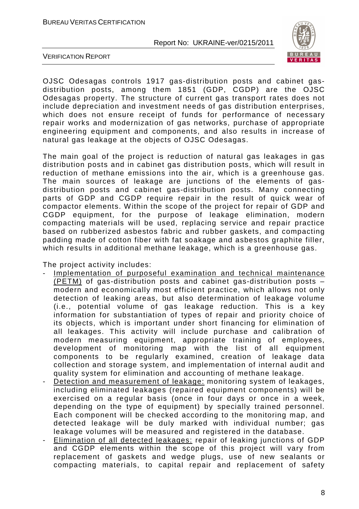

VERIFICATION REPORT

OJSC Odesagas controls 1917 gas-distribution posts and cabinet gasdistribution posts, among them 1851 (GDP, CGDP) are the OJSC Odesagas property. The structure of current gas transport rates does not include depreciation and investment needs of gas distribution enterprises, which does not ensure receipt of funds for performance of necessary repair works and modernization of gas networks, purchase of appropriate engineering equipment and components, and also results in increase of natural gas leakage at the objects of OJSC Odesagas.

The main goal of the project is reduction of natural gas leakages in gas distribution posts and in cabinet gas distribution posts, which will result in reduction of methane emissions into the air, which is a greenhouse gas. The main sources of leakage are junctions of the elements of gasdistribution posts and cabinet gas-distribution posts. Many connecting parts of GDP and CGDP require repair in the result of quick wear of compactor elements. Within the scope of the project for repair of GDP and CGDP equipment, for the purpose of leakage elimination, modern compacting materials will be used, replacing service and repair practice based on rubberized asbestos fabric and rubber gaskets, and compacting padding made of cotton fiber with fat soakage and asbestos graphite filler, which results in additional methane leakage, which is a greenhouse gas.

The project activity includes:

- Implementation of purposeful examination and technical maintenance  $\overline{PETM}$ ) of gas-distribution posts and cabinet gas-distribution posts  $\overline{P}$ modern and economically most efficient practice, which allows not only detection of leaking areas, but also determination of leakage volume (i.e., potential volume of gas leakage reduction. This is a key information for substantiation of types of repair and priority choice of its objects, which is important under short financing for elimination of all leakages. This activity will include purchase and calibration of modern measuring equipment, appropriate training of employees, development of monitoring map with the list of all equipment components to be regularly examined, creation of leakage data collection and storage system, and implementation of internal audit and quality system for elimination and accounting of methane leakage.
- Detection and measurement of leakage: monitoring system of leakages, including eliminated leakages (repaired equipment components) will be exercised on a regular basis (once in four days or once in a week, depending on the type of equipment) by specially trained personnel. Each component will be checked according to the monitoring map, and detected leakage will be duly marked with individual number; gas leakage volumes will be measured and registered in the database.
- Elimination of all detected leakages: repair of leaking junctions of GDP and CGDP elements within the scope of this project will vary from replacement of gaskets and wedge plugs, use of new sealants or compacting materials, to capital repair and replacement of safety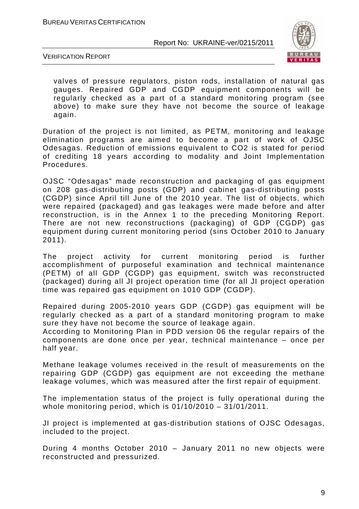

VERIFICATION REPORT

valves of pressure regulators, piston rods, installation of natural gas gauges. Repaired GDP and CGDP equipment components will be regularly checked as a part of a standard monitoring program (see above) to make sure they have not become the source of leakage again.

Duration of the project is not limited, as PETM, monitoring and leakage elimination programs are aimed to become a part of work of OJSC Odesagas. Reduction of emissions equivalent to CO2 is stated for period of crediting 18 years according to modality and Joint Implementation Procedures.

OJSC "Odesagas" made reconstruction and packaging of gas equipment on 208 gas-distributing posts (GDP) and cabinet gas-distributing posts (CGDP) since April till June of the 2010 year. The list of objects, which were repaired (packaged) and gas leakages were made before and after reconstruction, is in the Annex 1 to the preceding Monitoring Report. There are not new reconstructions (packaging) оf GDP (CGDP) gas equipment during current monitoring period (sins October 2010 to January 2011).

The project activity for current monitoring period is further accomplishment of purposeful examination and technical maintenance (PETM) of all GDP (CGDP) gas equipment, switch was reconstructed (packaged) during all JI project operation time (for all JI project operation time was repaired gas equipment on 1010 GDP (CGDP).

Repaired during 2005-2010 years GDP (CGDP) gas equipment will be regularly checked as a part of a standard monitoring program to make sure they have not become the source of leakage again.

According to Monitoring Plan in PDD version 06 the regular repairs оf the components are done once per year, technical maintenance – once per half year.

Methane leakage volumes received in the result of measurements on the repairing GDP (CGDP) gas equipment are not exceeding the methane leakage volumes, which was measured after the first repair of equipment.

The implementation status of the project is fully operational during the whole monitoring period, which is 01/10/2010 – 31/01/2011.

JI project is implemented at gas-distribution stations of OJSC Odesagas, included to the project.

During 4 months October 2010 – January 2011 no new objects were reconstructed and pressurized.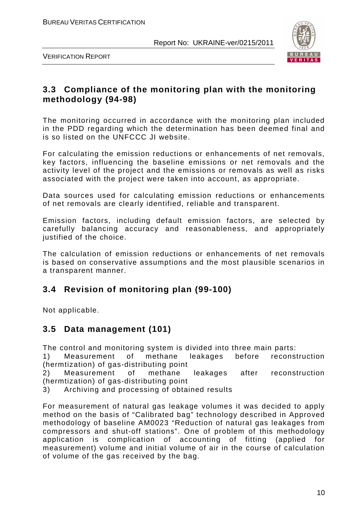

VERIFICATION REPORT

# **3.3 Compliance of the monitoring plan with the monitoring methodology (94-98)**

The monitoring occurred in accordance with the monitoring plan included in the PDD regarding which the determination has been deemed final and is so listed on the UNFCCC JI website.

For calculating the emission reductions or enhancements of net removals, key factors, influencing the baseline emissions or net removals and the activity level of the project and the emissions or removals as well as risks associated with the project were taken into account, as appropriate.

Data sources used for calculating emission reductions or enhancements of net removals are clearly identified, reliable and transparent.

Emission factors, including default emission factors, are selected by carefully balancing accuracy and reasonableness, and appropriately justified of the choice.

The calculation of emission reductions or enhancements of net removals is based on conservative assumptions and the most plausible scenarios in a transparent manner.

# **3.4 Revision of monitoring plan (99-100)**

Not applicable.

# **3.5 Data management (101)**

The control and monitoring system is divided into three main parts:

1) Measurement of methane leakages before reconstruction (hermtization) of gas-distributing point

2) Measurement of methane leakages after reconstruction (hermtization) of gas-distributing point

3) Archiving and processing of obtained results

For measurement of natural gas leakage volumes it was decided to apply method on the basis of "Calibrated bag" technology described in Approved methodology of baseline AM0023 "Reduction of natural gas leakages from compressors and shut-off stations". One of problem of this methodology application is complication of accounting of fitting (applied for measurement) volume and initial volume of air in the course of calculation of volume of the gas received by the bag.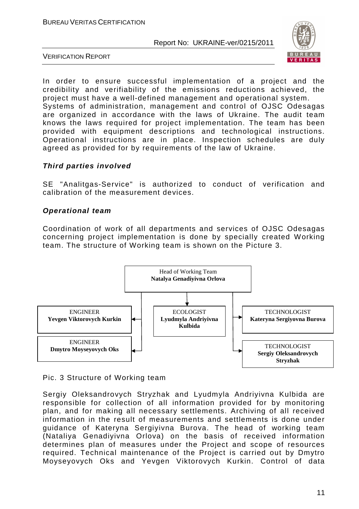

VERIFICATION REPORT

In order to ensure successful implementation of a project and the credibility and verifiability of the emissions reductions achieved, the project must have a well-defined management and operational system. Systems of administration, management and control of OJSC Odesagas are organized in accordance with the laws of Ukraine. The audit team knows the laws required for project implementation. The team has been provided with equipment descriptions and technological instructions. Operational instructions are in place. Inspection schedules are duly agreed as provided for by requirements of the law of Ukraine.

#### **Third parties involved**

SE "Analitgas-Service" is authorized to conduct of verification and calibration of the measurement devices.

#### **Operational team**

Coordination of work of all departments and services of OJSC Odesagas concerning project implementation is done by specially created Working team. The structure of Working team is shown on the Picture 3.



Pic. 3 Structure of Working team

Sergiy Oleksandrovych Stryzhak and Lyudmyla Andriyivna Kulbida are responsible for collection of all information provided for by monitoring plan, and for making all necessary settlements. Archiving of all received information in the result of measurements and settlements is done under guidance of Kateryna Sergiyivna Burova. The head of working team (Nataliya Genadiyivna Orlova) on the basis of received information determines plan of measures under the Project and scope of resources required. Technical maintenance of the Project is carried out by Dmytro Moyseyovych Oks and Yevgen Viktorovych Kurkin. Control of data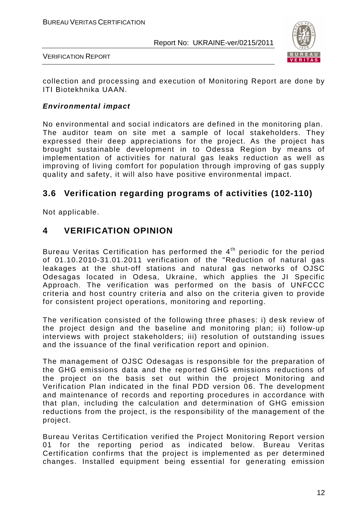

VERIFICATION REPORT

collection and processing and execution of Monitoring Report are done by ITI Biotekhnika UAAN.

#### **Environmental impact**

No environmental and social indicators are defined in the monitoring plan. The auditor team on site met a sample of local stakeholders. They expressed their deep appreciations for the project. As the project has brought sustainable development in to Odessa Region by means of implementation of activities for natural gas leaks reduction as well as improving of living comfort for population through improving of gas supply quality and safety, it will also have positive environmental impact.

# **3.6 Verification regarding programs of activities (102-110)**

Not applicable.

# **4 VERIFICATION OPINION**

Bureau Veritas Certification has performed the 4<sup>th</sup> periodic for the period of 01.10.2010-31.01.2011 verification of the "Reduction of natural gas leakages at the shut-off stations and natural gas networks of OJSC Odesagas located in Odesa, Ukraine, which applies the JI Specific Approach. The verification was performed on the basis of UNFCCC criteria and host country criteria and also on the criteria given to provide for consistent project operations, monitoring and reporting.

The verification consisted of the following three phases: i) desk review of the project design and the baseline and monitoring plan; ii) follow-up interviews with project stakeholders; iii) resolution of outstanding issues and the issuance of the final verification report and opinion.

The management of OJSC Odesagas is responsible for the preparation of the GHG emissions data and the reported GHG emissions reductions of the project on the basis set out within the project Monitoring and Verification Plan indicated in the final PDD version 06. The development and maintenance of records and reporting procedures in accordance with that plan, including the calculation and determination of GHG emission reductions from the project, is the responsibility of the management of the project.

Bureau Veritas Certification verified the Project Monitoring Report version 01 for the reporting period as indicated below. Bureau Veritas Certification confirms that the project is implemented as per determined changes. Installed equipment being essential for generating emission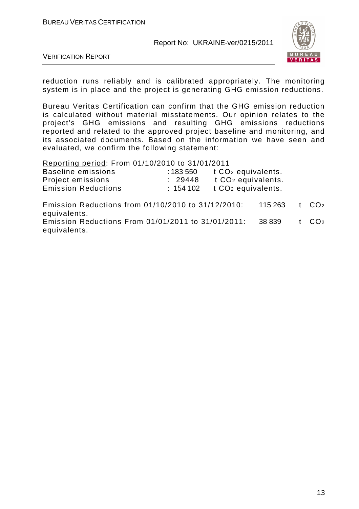

VERIFICATION REPORT

reduction runs reliably and is calibrated appropriately. The monitoring system is in place and the project is generating GHG emission reductions.

Bureau Veritas Certification can confirm that the GHG emission reduction is calculated without material misstatements. Our opinion relates to the project's GHG emissions and resulting GHG emissions reductions reported and related to the approved project baseline and monitoring, and its associated documents. Based on the information we have seen and evaluated, we confirm the following statement:

Reporting period: From 01/10/2010 to 31/01/2011

| Baseline emissions         | : 183 550 | t CO <sub>2</sub> equivalents. |
|----------------------------|-----------|--------------------------------|
| Project emissions          | : 29448   | t CO <sub>2</sub> equivalents. |
| <b>Emission Reductions</b> | : 154102  | t CO <sub>2</sub> equivalents. |

Emission Reductions from 01/10/2010 to 31/12/2010: 115 263 t CO<sup>2</sup> equivalents. Emission Reductions From 01/01/2011 to 31/01/2011: 38 839 t CO<sup>2</sup> equivalents.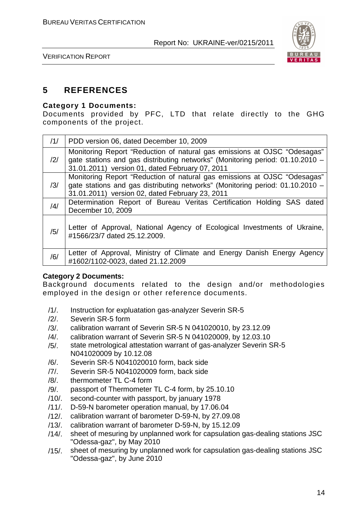

VERIFICATION REPORT

# **5 REFERENCES**

#### **Category 1 Documents:**

Documents provided by PFC, LTD that relate directly to the GHG components of the project.

| /1/            | PDD version 06, dated December 10, 2009                                                                                                                                                                      |
|----------------|--------------------------------------------------------------------------------------------------------------------------------------------------------------------------------------------------------------|
| $\frac{12}{1}$ | Monitoring Report "Reduction of natural gas emissions at OJSC "Odesagas"<br>gate stations and gas distributing networks" (Monitoring period: 01.10.2010 -<br>31.01.2011) version 01, dated February 07, 2011 |
| /3/            | Monitoring Report "Reduction of natural gas emissions at OJSC "Odesagas"<br>gate stations and gas distributing networks" (Monitoring period: 01.10.2010 -<br>31.01.2011) version 02, dated February 23, 2011 |
| /4/            | Determination Report of Bureau Veritas Certification Holding SAS dated<br>December 10, 2009                                                                                                                  |
| /5/            | Letter of Approval, National Agency of Ecological Investments of Ukraine,<br>#1566/23/7 dated 25.12.2009.                                                                                                    |
| /6/            | Letter of Approval, Ministry of Climate and Energy Danish Energy Agency<br>#1602/1102-0023, dated 21.12.2009                                                                                                 |

#### **Category 2 Documents:**

Background documents related to the design and/or methodologies employed in the design or other reference documents.

- /1/. Instruction for expluatation gas-analyzer Severin SR-5
- /2/. Severin SR-5 form
- /3/. calibration warrant of Severin SR-5 N 041020010, by 23.12.09
- /4/. calibration warrant of Severin SR-5 N 041020009, by 12.03.10
- /5/. state metrological attestation warrant of gas-analyzer Severin SR-5 N041020009 by 10.12.08
- /6/. Severin SR-5 N041020010 form, back side
- /7/. Severin SR-5 N041020009 form, back side
- /8/. thermometer TL C-4 form
- /9/. passport of Thermometer TL C-4 form, by 25.10.10
- /10/. second-counter with passport, by january 1978
- /11/. D-59-N barometer operation manual, by 17.06.04
- /12/. calibration warrant of barometer D-59-N, by 27.09.08
- /13/. calibration warrant of barometer D-59-N, by 15.12.09
- /14/. sheet of mesuring by unplanned work for capsulation gas-dealing stations JSC "Odessa-gaz", by May 2010
- /15/. sheet of mesuring by unplanned work for capsulation gas-dealing stations JSC "Odessa-gaz", by June 2010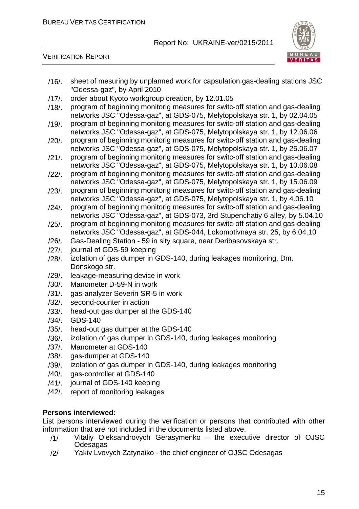

VERIFICATION REPORT

| $/16/$ . | sheet of mesuring by unplanned work for capsulation gas-dealing stations JSC<br>"Odessa-gaz", by April 2010                                                  |
|----------|--------------------------------------------------------------------------------------------------------------------------------------------------------------|
| $/17/$ . | order about Kyoto workgroup creation, by 12.01.05                                                                                                            |
| $/18/$ . | program of beginning monitorig measures for switc-off station and gas-dealing<br>networks JSC "Odessa-gaz", at GDS-075, Melytopolskaya str. 1, by 02.04.05   |
| $/19/$ . | program of beginning monitorig measures for switc-off station and gas-dealing<br>networks JSC "Odessa-gaz", at GDS-075, Melytopolskaya str. 1, by 12.06.06   |
| $/20/$ . | program of beginning monitorig measures for switc-off station and gas-dealing<br>networks JSC "Odessa-gaz", at GDS-075, Melytopolskaya str. 1, by 25.06.07   |
| $/21/$ . | program of beginning monitorig measures for switc-off station and gas-dealing<br>networks JSC "Odessa-gaz", at GDS-075, Melytopolskaya str. 1, by 10.06.08   |
| $/22/$ . | program of beginning monitorig measures for switc-off station and gas-dealing<br>networks JSC "Odessa-gaz", at GDS-075, Melytopolskaya str. 1, by 15.06.09   |
| $/23/$ . | program of beginning monitorig measures for switc-off station and gas-dealing<br>networks JSC "Odessa-gaz", at GDS-075, Melytopolskaya str. 1, by 4.06.10    |
| $/24/$ . | program of beginning monitorig measures for switc-off station and gas-dealing<br>networks JSC "Odessa-gaz", at GDS-073, 3rd Stupenchatiy 6 alley, by 5.04.10 |
| $/25/$ . | program of beginning monitorig measures for switc-off station and gas-dealing<br>networks JSC "Odessa-gaz", at GDS-044, Lokomotivnaya str. 25, by 6.04.10    |
| $/26/$ . | Gas-Dealing Station - 59 in sity square, near Deribasovskaya str.                                                                                            |
| $/27/$ . | journal of GDS-59 keeping                                                                                                                                    |
| $/28/$ . | izolation of gas dumper in GDS-140, during leakages monitoring, Dm.<br>Donskogo str.                                                                         |
| $/29/$ . | leakage-measuring device in work                                                                                                                             |
| $/30/$ . | Manometer D-59-N in work                                                                                                                                     |
| $/31/$ . | gas-analyzer Severin SR-5 in work                                                                                                                            |
| $/32/$ . | second-counter in action                                                                                                                                     |
| $/33/$ . | head-out gas dumper at the GDS-140                                                                                                                           |
| $/34/$ . | <b>GDS-140</b>                                                                                                                                               |
| $/35/$ . | head-out gas dumper at the GDS-140                                                                                                                           |
| $/36/$ . | izolation of gas dumper in GDS-140, during leakages monitoring                                                                                               |
| /37/.    | Manometer at GDS-140                                                                                                                                         |
| $/38/$ . | gas-dumper at GDS-140                                                                                                                                        |
| $/39/$ . | izolation of gas dumper in GDS-140, during leakages monitoring                                                                                               |
| $/40/$ . | gas-controller at GDS-140                                                                                                                                    |
| $/41/$ . | journal of GDS-140 keeping                                                                                                                                   |
| /42/.    | report of monitoring leakages                                                                                                                                |

#### **Persons interviewed:**

List persons interviewed during the verification or persons that contributed with other information that are not included in the documents listed above.

- /1/ Vitaliy Oleksandrovych Gerasymenko the executive director of OJSC **Odesagas**
- /2/ Yakiv Lvovych Zatynaiko the chief engineer of OJSC Odesagas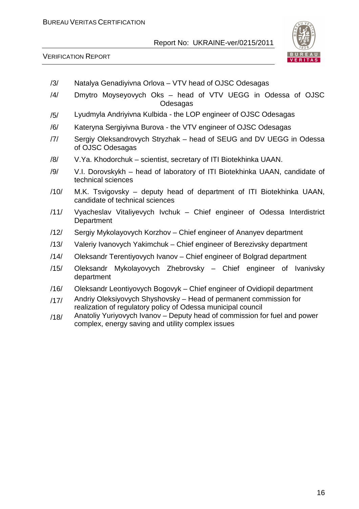

- /3/ Natalya Genadiyivna Orlova VTV head of OJSC Odesagas
- /4/ Dmytro Moyseyovych Oks head of VTV UEGG in Odessa of OJSC Odesagas
- /5/ Lyudmyla Andriyivna Kulbida the LOP engineer of OJSC Odesagas
- /6/ Kateryna Sergiyivna Burova the VTV engineer of OJSC Odesagas
- /7/ Sergiy Oleksandrovych Stryzhak head of SEUG and DV UEGG in Odessa of OJSC Odesagas
- /8/ V.Ya. Khodorchuk scientist, secretary of ITI Biotekhinka UAAN.
- /9/ V.I. Dorovskykh head of laboratory of ITI Biotekhinka UAAN, candidate of technical sciences
- /10/ M.K. Tsvigovsky deputy head of department of ITI Biotekhinka UAAN, candidate of technical sciences
- /11/ Vyacheslav Vitaliyevych Ivchuk Chief engineer of Odessa Interdistrict **Department**
- /12/ Sergiy Mykolayovych Korzhov Chief engineer of Ananyev department
- /13/ Valeriy Ivanovych Yakimchuk Chief engineer of Berezivsky department
- /14/ Oleksandr Terentiyovych Ivanov Chief engineer of Bolgrad department
- /15/ Oleksandr Mykolayovych Zhebrovsky Chief engineer of Ivanivsky department
- /16/ Oleksandr Leontiyovych Bogovyk Chief engineer of Ovidiopil department
- /17/ Andriy Oleksiyovych Shyshovsky Head of permanent commission for realization of regulatory policy of Odessa municipal council
- /18/ Anatoliy Yuriyovych Ivanov Deputy head of commission for fuel and power complex, energy saving and utility complex issues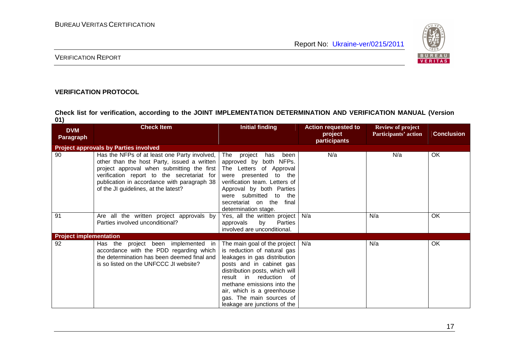

#### VERIFICATION REPORT

#### **VERIFICATION PROTOCOL**

**Check list for verification, according to the JOINT IMPLEMENTATION DETERMINATION AND VERIFICATION MANUAL (Version 01)** 

| <b>DVM</b>                    | <b>Check Item</b>                                                                                                                                                                                                                                                              | <b>Initial finding</b>                                                                                                                                                                                                                                                                                         | <b>Action requested to</b> | <b>Review of project</b>    |                   |
|-------------------------------|--------------------------------------------------------------------------------------------------------------------------------------------------------------------------------------------------------------------------------------------------------------------------------|----------------------------------------------------------------------------------------------------------------------------------------------------------------------------------------------------------------------------------------------------------------------------------------------------------------|----------------------------|-----------------------------|-------------------|
| <b>Paragraph</b>              |                                                                                                                                                                                                                                                                                |                                                                                                                                                                                                                                                                                                                | project<br>participants    | <b>Participants' action</b> | <b>Conclusion</b> |
|                               | <b>Project approvals by Parties involved</b>                                                                                                                                                                                                                                   |                                                                                                                                                                                                                                                                                                                |                            |                             |                   |
| 90                            | Has the NFPs of at least one Party involved,<br>other than the host Party, issued a written<br>project approval when submitting the first<br>verification report to the secretariat for<br>publication in accordance with paragraph 38<br>of the JI guidelines, at the latest? | The project<br>has<br>been<br>approved by both NFPs.<br>The Letters of Approval<br>were presented to the<br>verification team. Letters of<br>Approval by both Parties<br>were submitted to the<br>secretariat on the<br>final<br>determination stage.                                                          | N/a                        | N/a                         | OK                |
| 91                            | Are all the written project approvals by<br>Parties involved unconditional?                                                                                                                                                                                                    | Yes, all the written project<br>by<br>approvals<br><b>Parties</b><br>involved are unconditional.                                                                                                                                                                                                               | N/a                        | N/a                         | OK                |
| <b>Project implementation</b> |                                                                                                                                                                                                                                                                                |                                                                                                                                                                                                                                                                                                                |                            |                             |                   |
| 92                            | project been implemented in<br>Has the<br>accordance with the PDD regarding which<br>the determination has been deemed final and<br>is so listed on the UNFCCC JI website?                                                                                                     | The main goal of the project<br>is reduction of natural gas<br>leakages in gas distribution<br>posts and in cabinet gas<br>distribution posts, which will<br>result in<br>reduction of<br>methane emissions into the<br>air, which is a greenhouse<br>gas. The main sources of<br>leakage are junctions of the | N/a                        | N/a                         | OK                |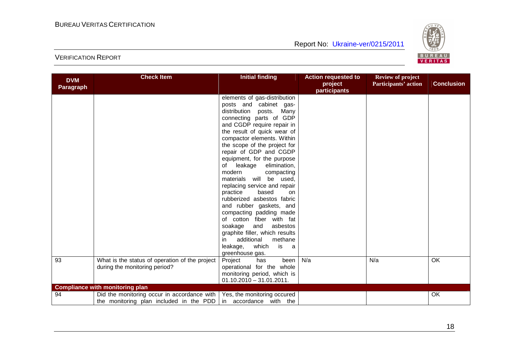

| <b>DVM</b> | <b>Check Item</b>                              | <b>Initial finding</b>                       | <b>Action requested to</b><br>project | <b>Review of project</b><br>Participants' action | <b>Conclusion</b> |
|------------|------------------------------------------------|----------------------------------------------|---------------------------------------|--------------------------------------------------|-------------------|
| Paragraph  |                                                |                                              | participants                          |                                                  |                   |
|            |                                                | elements of gas-distribution                 |                                       |                                                  |                   |
|            |                                                | posts and cabinet gas-                       |                                       |                                                  |                   |
|            |                                                | distribution posts. Many                     |                                       |                                                  |                   |
|            |                                                | connecting parts of GDP                      |                                       |                                                  |                   |
|            |                                                | and CGDP require repair in                   |                                       |                                                  |                   |
|            |                                                | the result of quick wear of                  |                                       |                                                  |                   |
|            |                                                | compactor elements. Within                   |                                       |                                                  |                   |
|            |                                                | the scope of the project for                 |                                       |                                                  |                   |
|            |                                                | repair of GDP and CGDP                       |                                       |                                                  |                   |
|            |                                                | equipment, for the purpose                   |                                       |                                                  |                   |
|            |                                                | leakage<br>elimination,<br>of                |                                       |                                                  |                   |
|            |                                                | modern<br>compacting                         |                                       |                                                  |                   |
|            |                                                | will be used,<br>materials                   |                                       |                                                  |                   |
|            |                                                | replacing service and repair                 |                                       |                                                  |                   |
|            |                                                | practice<br>based<br>on                      |                                       |                                                  |                   |
|            |                                                | rubberized asbestos fabric                   |                                       |                                                  |                   |
|            |                                                | and rubber gaskets, and                      |                                       |                                                  |                   |
|            |                                                | compacting padding made                      |                                       |                                                  |                   |
|            |                                                | of cotton fiber with fat                     |                                       |                                                  |                   |
|            |                                                | soakage<br>and<br>asbestos                   |                                       |                                                  |                   |
|            |                                                | graphite filler, which results<br>additional |                                       |                                                  |                   |
|            |                                                | methane<br>in<br>leakage,<br>which<br>is     |                                       |                                                  |                   |
|            |                                                | a<br>greenhouse gas.                         |                                       |                                                  |                   |
| 93         | What is the status of operation of the project | Project<br>been<br>has                       | N/a                                   | N/a                                              | OK                |
|            | during the monitoring period?                  | operational for the whole                    |                                       |                                                  |                   |
|            |                                                | monitoring period, which is                  |                                       |                                                  |                   |
|            |                                                | $01.10.2010 - 31.01.2011.$                   |                                       |                                                  |                   |
|            | <b>Compliance with monitoring plan</b>         |                                              |                                       |                                                  |                   |
| 94         | Did the monitoring occur in accordance with    | Yes, the monitoring occured                  |                                       |                                                  | <b>OK</b>         |
|            | the monitoring plan included in the PDD        | in accordance with the                       |                                       |                                                  |                   |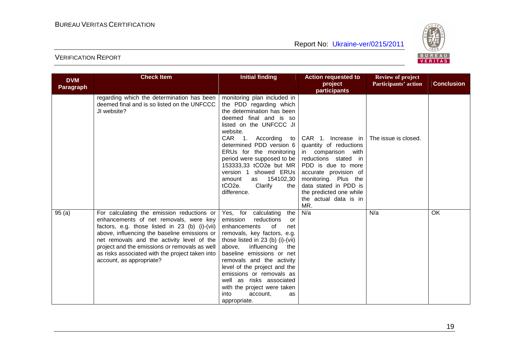

| <b>DVM</b>       | <b>Check Item</b>                                                                                                                                                                                                                                                                                                                                                    | <b>Initial finding</b>                                                                                                                                                                                                                                                                                                                                                                                                  | <b>Action requested to</b>                                                                                                                                                                                                                            | <b>Review of project</b> |                   |
|------------------|----------------------------------------------------------------------------------------------------------------------------------------------------------------------------------------------------------------------------------------------------------------------------------------------------------------------------------------------------------------------|-------------------------------------------------------------------------------------------------------------------------------------------------------------------------------------------------------------------------------------------------------------------------------------------------------------------------------------------------------------------------------------------------------------------------|-------------------------------------------------------------------------------------------------------------------------------------------------------------------------------------------------------------------------------------------------------|--------------------------|-------------------|
| <b>Paragraph</b> |                                                                                                                                                                                                                                                                                                                                                                      |                                                                                                                                                                                                                                                                                                                                                                                                                         | project                                                                                                                                                                                                                                               | Participants' action     | <b>Conclusion</b> |
|                  | regarding which the determination has been<br>deemed final and is so listed on the UNFCCC<br>JI website?                                                                                                                                                                                                                                                             | monitoring plan included in<br>the PDD regarding which<br>the determination has been<br>deemed final and is so<br>listed on the UNFCCC JI<br>website.                                                                                                                                                                                                                                                                   | participants                                                                                                                                                                                                                                          |                          |                   |
|                  |                                                                                                                                                                                                                                                                                                                                                                      | CAR 1.<br>According to<br>determined PDD version 6<br>ERUs for the monitoring<br>period were supposed to be<br>153333,33 tCO2e but MR<br>version 1 showed ERUs<br>amount<br>154102,30<br>as<br>tCO <sub>2e</sub> .<br>Clarify<br>the<br>difference.                                                                                                                                                                     | CAR 1. Increase in<br>quantity of reductions<br>in comparison with<br>reductions stated in<br>PDD is due to more<br>accurate provision of<br>monitoring. Plus the<br>data stated in PDD is<br>the predicted one while<br>the actual data is in<br>MR. | The issue is closed.     |                   |
| 95(a)            | For calculating the emission reductions or<br>enhancements of net removals, were key<br>factors, e.g. those listed in 23 (b) (i)-(vii)<br>above, influencing the baseline emissions or<br>net removals and the activity level of the<br>project and the emissions or removals as well<br>as risks associated with the project taken into<br>account, as appropriate? | Yes, for calculating<br>the<br>emission<br>reductions<br>-or<br>enhancements<br>of<br>net<br>removals, key factors, e.g.<br>those listed in 23 (b) (i)-(vii)<br>above,<br>influencing<br>the<br>baseline emissions or net<br>removals and the activity<br>level of the project and the<br>emissions or removals as<br>well as risks associated<br>with the project were taken<br>into<br>account,<br>as<br>appropriate. | N/a                                                                                                                                                                                                                                                   | N/a                      | <b>OK</b>         |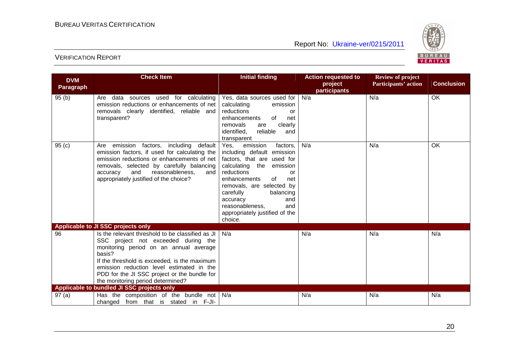

| <b>DVM</b>        | <b>Check Item</b>                                                                                                                                                                                                                                                                                                              | <b>Initial finding</b>                                                                                                                                                                                                                                                                                                 | <b>Action requested to</b> | <b>Review of project</b> |                   |
|-------------------|--------------------------------------------------------------------------------------------------------------------------------------------------------------------------------------------------------------------------------------------------------------------------------------------------------------------------------|------------------------------------------------------------------------------------------------------------------------------------------------------------------------------------------------------------------------------------------------------------------------------------------------------------------------|----------------------------|--------------------------|-------------------|
| <b>Paragraph</b>  |                                                                                                                                                                                                                                                                                                                                |                                                                                                                                                                                                                                                                                                                        | project                    | Participants' action     | <b>Conclusion</b> |
| 95(b)             | Are data sources used for calculating<br>emission reductions or enhancements of net<br>removals clearly identified, reliable and<br>transparent?                                                                                                                                                                               | Yes, data sources used for<br>calculating<br>emission<br>reductions<br>or<br>enhancements<br>of<br>net<br>removals<br>clearly<br>are<br>identified,<br>reliable<br>and<br>transparent                                                                                                                                  | participants<br>N/a        | N/a                      | $\overline{OK}$   |
| 95 <sub>(c)</sub> | emission factors, including default<br>Are<br>emission factors, if used for calculating the<br>emission reductions or enhancements of net<br>removals, selected by carefully balancing<br>and<br>reasonableness.<br>accuracy<br>and<br>appropriately justified of the choice?                                                  | Yes,<br>emission<br>factors,<br>including default emission<br>factors, that are used for<br>calculating the emission<br>reductions<br>or<br>enhancements<br>of<br>net<br>removals, are selected by<br>carefully<br>balancing<br>accuracy<br>and<br>reasonableness,<br>and<br>appropriately justified of the<br>choice. | N/a                        | N/a                      | OK                |
| 96                | Applicable to JI SSC projects only<br>Is the relevant threshold to be classified as JI<br>SSC project not exceeded during the<br>monitoring period on an annual average<br>basis?<br>If the threshold is exceeded, is the maximum<br>emission reduction level estimated in the<br>PDD for the JI SSC project or the bundle for | N/a                                                                                                                                                                                                                                                                                                                    | N/a                        | N/a                      | N/a               |
|                   | the monitoring period determined?<br>Applicable to bundled JI SSC projects only                                                                                                                                                                                                                                                |                                                                                                                                                                                                                                                                                                                        |                            |                          |                   |
| 97(a)             | Has the composition of the bundle not                                                                                                                                                                                                                                                                                          | N/a                                                                                                                                                                                                                                                                                                                    | N/a                        | N/a                      | N/a               |
|                   | changed from that is stated in F-JI-                                                                                                                                                                                                                                                                                           |                                                                                                                                                                                                                                                                                                                        |                            |                          |                   |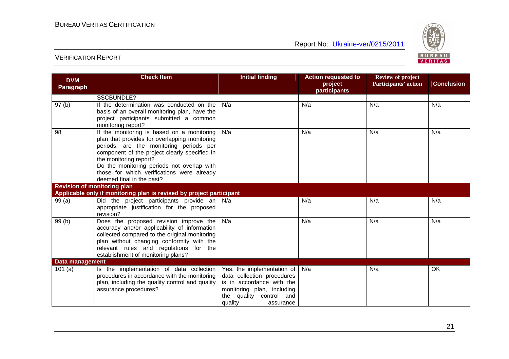

| <b>DVM</b>                         | <b>Check Item</b>                                                                                                                                                                                                                                                                                                                          | <b>Initial finding</b>                                                                                                                                                 | <b>Action requested to</b> | <b>Review of project</b> |                   |
|------------------------------------|--------------------------------------------------------------------------------------------------------------------------------------------------------------------------------------------------------------------------------------------------------------------------------------------------------------------------------------------|------------------------------------------------------------------------------------------------------------------------------------------------------------------------|----------------------------|--------------------------|-------------------|
| <b>Paragraph</b>                   |                                                                                                                                                                                                                                                                                                                                            |                                                                                                                                                                        | project<br>participants    | Participants' action     | <b>Conclusion</b> |
|                                    | <b>SSCBUNDLE?</b>                                                                                                                                                                                                                                                                                                                          |                                                                                                                                                                        |                            |                          |                   |
| 97 <sub>(b)</sub>                  | If the determination was conducted on the<br>basis of an overall monitoring plan, have the<br>project participants submitted a common<br>monitoring report?                                                                                                                                                                                | N/a                                                                                                                                                                    | N/a                        | N/a                      | N/a               |
| 98                                 | If the monitoring is based on a monitoring<br>plan that provides for overlapping monitoring<br>periods, are the monitoring periods per<br>component of the project clearly specified in<br>the monitoring report?<br>Do the monitoring periods not overlap with<br>those for which verifications were already<br>deemed final in the past? | N/a                                                                                                                                                                    | N/a                        | N/a                      | N/a               |
| <b>Revision of monitoring plan</b> |                                                                                                                                                                                                                                                                                                                                            |                                                                                                                                                                        |                            |                          |                   |
|                                    | Applicable only if monitoring plan is revised by project participant                                                                                                                                                                                                                                                                       |                                                                                                                                                                        |                            |                          |                   |
| 99(a)                              | Did the project participants provide an $\vert$ N/a<br>appropriate justification for the proposed<br>revision?                                                                                                                                                                                                                             |                                                                                                                                                                        | N/a                        | N/a                      | N/a               |
| 99(b)                              | Does the proposed revision improve the<br>accuracy and/or applicability of information<br>collected compared to the original monitoring<br>plan without changing conformity with the<br>relevant rules and regulations for the<br>establishment of monitoring plans?                                                                       | N/a                                                                                                                                                                    | N/a                        | N/a                      | N/a               |
| Data management                    |                                                                                                                                                                                                                                                                                                                                            |                                                                                                                                                                        |                            |                          |                   |
| 101(a)                             | Is the implementation of data collection<br>procedures in accordance with the monitoring<br>plan, including the quality control and quality<br>assurance procedures?                                                                                                                                                                       | Yes, the implementation of<br>data collection procedures<br>is in accordance with the<br>monitoring plan, including<br>the quality control and<br>quality<br>assurance | N/a                        | N/a                      | OK                |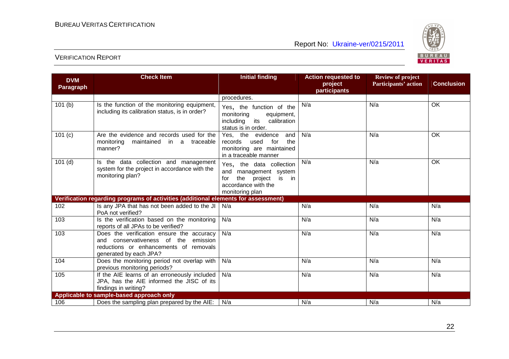

| <b>DVM</b>       | <b>Check Item</b>                                                                                                                                        | <b>Initial finding</b>                                                                                                  | <b>Action requested to</b> | <b>Review of project</b> |                   |
|------------------|----------------------------------------------------------------------------------------------------------------------------------------------------------|-------------------------------------------------------------------------------------------------------------------------|----------------------------|--------------------------|-------------------|
| <b>Paragraph</b> |                                                                                                                                                          |                                                                                                                         | project                    | Participants' action     | <b>Conclusion</b> |
|                  |                                                                                                                                                          | procedures.                                                                                                             | participants               |                          |                   |
| 101(b)           | Is the function of the monitoring equipment,<br>including its calibration status, is in order?                                                           | Yes, the function of the<br>monitoring<br>equipment,<br>calibration<br>including<br>its<br>status is in order.          | N/a                        | N/a                      | OK                |
| 101 $(c)$        | Are the evidence and records used for the<br>monitoring<br>maintained in a traceable<br>manner?                                                          | Yes, the evidence<br>and<br>used<br>for<br>the<br>records<br>monitoring are maintained<br>in a traceable manner         | N/a                        | N/a                      | OK                |
| $101$ (d)        | Is the data collection and management<br>system for the project in accordance with the<br>monitoring plan?                                               | Yes, the data collection<br>and management system<br>the project is in<br>for<br>accordance with the<br>monitoring plan | N/a                        | N/a                      | OK                |
|                  | Verification regarding programs of activities (additional elements for assessment)                                                                       |                                                                                                                         |                            |                          |                   |
| 102              | Is any JPA that has not been added to the JI<br>PoA not verified?                                                                                        | N/a                                                                                                                     | N/a                        | N/a                      | N/a               |
| 103              | Is the verification based on the monitoring<br>reports of all JPAs to be verified?                                                                       | N/a                                                                                                                     | N/a                        | N/a                      | N/a               |
| 103              | Does the verification ensure the accuracy<br>conservativeness of the emission<br>and<br>reductions or enhancements of removals<br>generated by each JPA? | N/a                                                                                                                     | N/a                        | N/a                      | N/a               |
| 104              | Does the monitoring period not overlap with<br>previous monitoring periods?                                                                              | N/a                                                                                                                     | N/a                        | N/a                      | N/a               |
| 105              | If the AIE learns of an erroneously included<br>JPA, has the AIE informed the JISC of its<br>findings in writing?                                        | N/a                                                                                                                     | N/a                        | N/a                      | N/a               |
|                  | Applicable to sample-based approach only                                                                                                                 |                                                                                                                         |                            |                          |                   |
| 106              | Does the sampling plan prepared by the AIE:                                                                                                              | N/a                                                                                                                     | N/a                        | N/a                      | N/a               |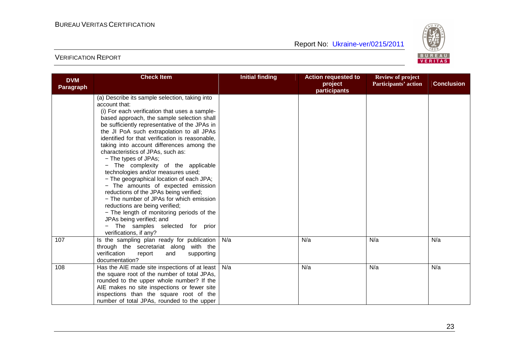

| <b>DVM</b>       | <b>Check Item</b>                                                                 | <b>Initial finding</b> | <b>Action requested to</b> | <b>Review of project</b> |                   |
|------------------|-----------------------------------------------------------------------------------|------------------------|----------------------------|--------------------------|-------------------|
| <b>Paragraph</b> |                                                                                   |                        | project                    | Participants' action     | <b>Conclusion</b> |
|                  |                                                                                   |                        | participants               |                          |                   |
|                  | (a) Describe its sample selection, taking into                                    |                        |                            |                          |                   |
|                  | account that:                                                                     |                        |                            |                          |                   |
|                  | (i) For each verification that uses a sample-                                     |                        |                            |                          |                   |
|                  | based approach, the sample selection shall                                        |                        |                            |                          |                   |
|                  | be sufficiently representative of the JPAs in                                     |                        |                            |                          |                   |
|                  | the JI PoA such extrapolation to all JPAs                                         |                        |                            |                          |                   |
|                  | identified for that verification is reasonable,                                   |                        |                            |                          |                   |
|                  | taking into account differences among the                                         |                        |                            |                          |                   |
|                  | characteristics of JPAs, such as:                                                 |                        |                            |                          |                   |
|                  | - The types of JPAs;                                                              |                        |                            |                          |                   |
|                  | - The complexity of the applicable                                                |                        |                            |                          |                   |
|                  | technologies and/or measures used;                                                |                        |                            |                          |                   |
|                  | - The geographical location of each JPA;                                          |                        |                            |                          |                   |
|                  | - The amounts of expected emission                                                |                        |                            |                          |                   |
|                  | reductions of the JPAs being verified;<br>- The number of JPAs for which emission |                        |                            |                          |                   |
|                  | reductions are being verified;                                                    |                        |                            |                          |                   |
|                  | - The length of monitoring periods of the                                         |                        |                            |                          |                   |
|                  | JPAs being verified; and                                                          |                        |                            |                          |                   |
|                  | - The samples selected for prior                                                  |                        |                            |                          |                   |
|                  | verifications, if any?                                                            |                        |                            |                          |                   |
| 107              | Is the sampling plan ready for publication                                        | N/a                    | N/a                        | N/a                      | N/a               |
|                  | through the secretariat along with the                                            |                        |                            |                          |                   |
|                  | verification<br>report<br>and<br>supporting                                       |                        |                            |                          |                   |
|                  | documentation?                                                                    |                        |                            |                          |                   |
| 108              | Has the AIE made site inspections of at least                                     | N/a                    | N/a                        | N/a                      | N/a               |
|                  | the square root of the number of total JPAs,                                      |                        |                            |                          |                   |
|                  | rounded to the upper whole number? If the                                         |                        |                            |                          |                   |
|                  | AIE makes no site inspections or fewer site                                       |                        |                            |                          |                   |
|                  | inspections than the square root of the                                           |                        |                            |                          |                   |
|                  | number of total JPAs, rounded to the upper                                        |                        |                            |                          |                   |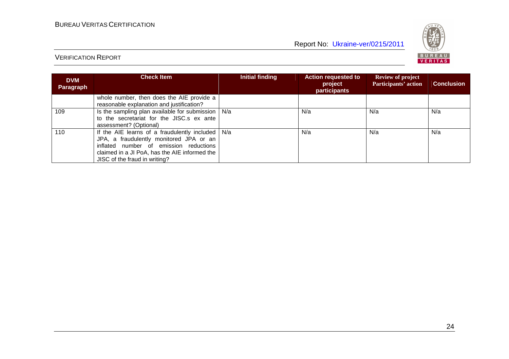



| <b>DVM</b><br>Paragraph | <b>Check Item</b>                                                                                                                                                                                                               | Initial finding | <b>Action requested to</b><br>project<br>participants | <b>Review of project</b><br>Participants' action | <b>Conclusion</b> |
|-------------------------|---------------------------------------------------------------------------------------------------------------------------------------------------------------------------------------------------------------------------------|-----------------|-------------------------------------------------------|--------------------------------------------------|-------------------|
|                         | whole number, then does the AIE provide a<br>reasonable explanation and justification?                                                                                                                                          |                 |                                                       |                                                  |                   |
| 109                     | Is the sampling plan available for submission $\vert$ N/a<br>to the secretariat for the JISC.s ex ante<br>assessment? (Optional)                                                                                                |                 | N/a                                                   | N/a                                              | N/a               |
| 110                     | If the AIE learns of a fraudulently included $\vert$ N/a<br>JPA, a fraudulently monitored JPA or an<br>inflated number of emission reductions<br>claimed in a JI PoA, has the AIE informed the<br>JISC of the fraud in writing? |                 | N/a                                                   | N/a                                              | N/a               |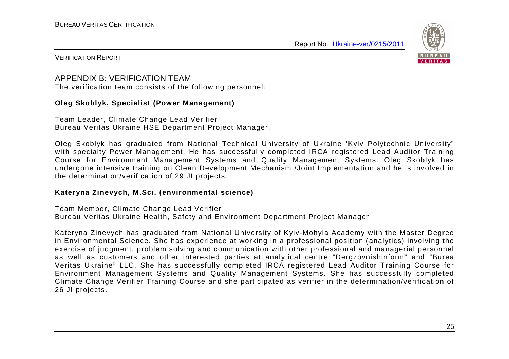

#### VERIFICATION REPORT

### APPENDIX B: VERIFICATION TEAM

The verification team consists of the following personnel:

#### **Oleg Skoblyk, Specialist (Power Management)**

Team Leader, Climate Change Lead Verifier Bureau Veritas Ukraine HSE Department Project Manager.

Oleg Skoblyk has graduated from National Technical University of Ukraine 'Kyiv Polytechnic University" with specialty Power Management. He has successfully completed IRCA registered Lead Auditor Training Course for Environment Management Systems and Quality Management Systems. Oleg Skoblyk has undergone intensive training on Clean Development Mechanism /Joint Implementation and he is involved in the determination/verification of 29 JI projects.

#### **Kateryna Zinevych, M.Sci. (environmental science)**

Team Member, Climate Change Lead Verifier Bureau Veritas Ukraine Health, Safety and Environment Department Project Manager

Kateryna Zinevych has graduated from National University of Kyiv-Mohyla Academy with the Master Degree in Environmental Science. She has experience at working in a professional position (analytics) involving the exercise of judgment, problem solving and communication with other professional and managerial personnel as well as customers and other interested parties at analytical centre "Dergzovnishinform" and "Burea Veritas Ukraine" LLC. She has successfully completed IRCA registered Lead Auditor Training Course for Environment Management Systems and Quality Management Systems. She has successfully completed Climate Change Verifier Training Course and she participated as verifier in the determination/verification of 26 JI projects.